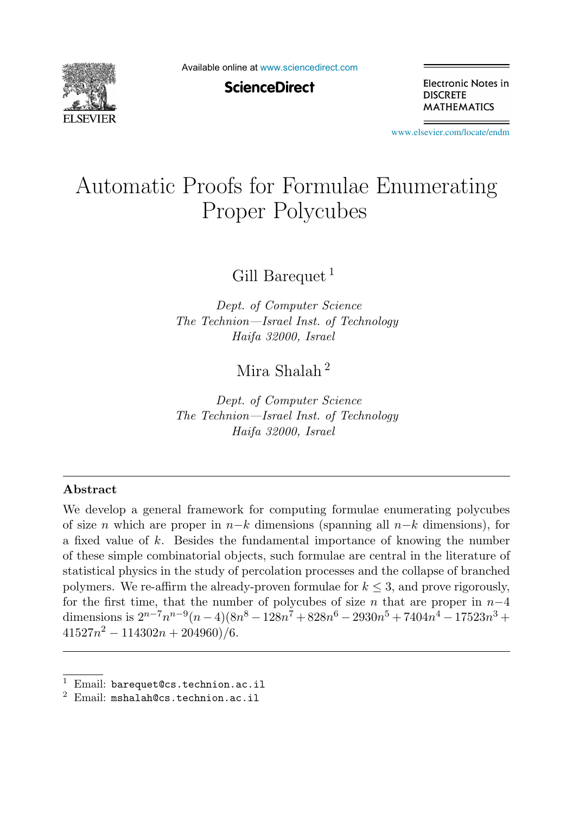

Available online at [www.sciencedirect.com](http://www.sciencedirect.com)

**ScienceDirect** 

Electronic Notes in **DISCRETE MATHEMATICS** 

[www.elsevier.com/locate/endm](http://www.elsevier.com/locate/endm)

# Automatic Proofs for Formulae Enumerating<br>Proper Polycubes  $\mathbf{P}$

Gill Barequet<sup>1</sup>

*Dept. of Computer Science The Technion—Israel Inst. of Technology Haifa 32000, Israel*

Mira Shalah <sup>2</sup>

*Dept. of Computer Science The Technion—Israel Inst. of Technology Haifa 32000, Israel*

#### **Abstract**

We develop a general framework for computing formulae enumerating polycubes of size n which are proper in  $n-k$  dimensions (spanning all  $n-k$  dimensions), for a fixed value of k. Besides the fundamental importance of knowing the number of these simple combinatorial objects, such formulae are central in the literature of statistical physics in the study of percolation processes and the collapse of branched polymers. We re-affirm the already-proven formulae for  $k \leq 3$ , and prove rigorously, for the first time, that the number of polycubes of size n that are proper in  $n-4$ dimensions is  $2^{n-7}n^{n-9}(n-4)(8n^8-128n^7+828n^6-2930n^5+7404n^4-17523n^3+$  $41527n^2 - 114302n + 204960)/6.$ 

<sup>&</sup>lt;sup>1</sup> Email: barequet@cs.technion.ac.il  $^2$  Email: mshalah@cs.technion.ac.il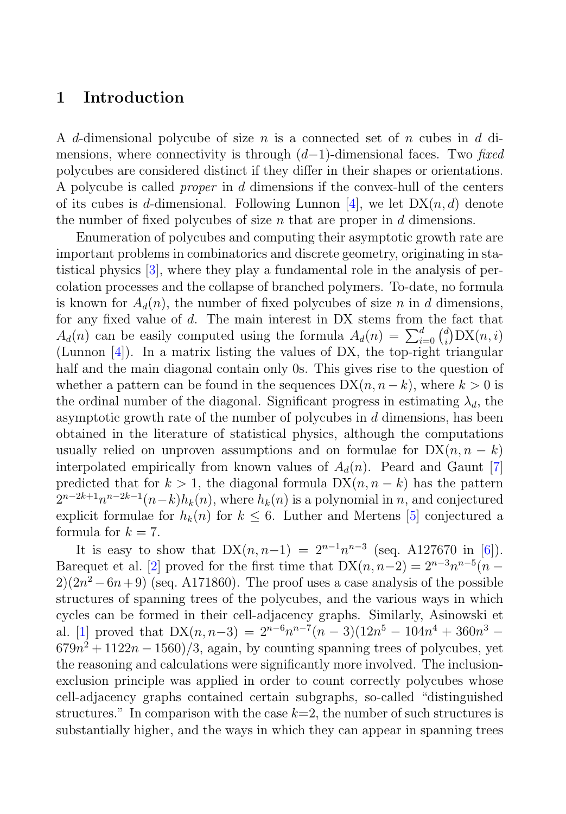## **1 Introduction**

A d-dimensional polycube of size n is a connected set of n cubes in d dimensions, where connectivity is through  $(d-1)$ -dimensional faces. Two fixed polycubes are considered distinct if they differ in their shapes or orientations. A polycube is called proper in d dimensions if the convex-hull of the centers of its cubes is d-dimensional. Following Lunnon [4], we let  $DX(n, d)$  denote the number of fixed polycubes of size  $n$  that are proper in  $d$  dimensions.

Enumeration of polycubes and computing their asymptotic growth rate are important problems in combinatorics and discrete geometry, originating in statistical physics [3], where they play a fundamental role in the analysis of percolation processes and the collapse of branched polymers. To-date, no formula is known for  $A_d(n)$ , the number of fixed polycubes of size n in d dimensions, for any fixed value of d. The main interest in DX stems from the fact that  $A_d(n)$  can be easily computed using the formula  $A_d(n) = \sum_{i=0}^d {d \choose i} DX(n, i)$ (Lunnon [4]). In a matrix listing the values of DX, the top-right triangular half and the main diagonal contain only 0s. This gives rise to the question of whether a pattern can be found in the sequences  $DX(n, n-k)$ , where  $k > 0$  is the ordinal number of the diagonal. Significant progress in estimating  $\lambda_d$ , the asymptotic growth rate of the number of polycubes in  $d$  dimensions, has been obtained in the literature of statistical physics, although the computations usually relied on unproven assumptions and on formulae for  $DX(n, n - k)$ interpolated empirically from known values of  $A_d(n)$ . Peard and Gaunt [7] predicted that for  $k > 1$ , the diagonal formula  $DX(n, n - k)$  has the pattern  $2^{n-2k+1}n^{n-2k-1}(n-k)h_k(n)$ , where  $h_k(n)$  is a polynomial in n, and conjectured explicit formulae for  $h_k(n)$  for  $k \leq 6$ . Luther and Mertens [5] conjectured a formula for  $k = 7$ .

It is easy to show that  $DX(n, n-1) = 2^{n-1}n^{n-3}$  (seq. A127670 in [6]). Barequet et al. [2] proved for the first time that  $DX(n, n-2) = 2^{n-3}n^{n-5}(n-2)$  $2(2n^2 - 6n + 9)$  (seq. A171860). The proof uses a case analysis of the possible structures of spanning trees of the polycubes, and the various ways in which cycles can be formed in their cell-adjacency graphs. Similarly, Asinowski et al. [1] proved that  $DX(n, n-3) = 2^{n-6}n^{n-7}(n-3)(12n^5 - 104n^4 + 360n^3 679n^2 + 1122n - 1560/3$ , again, by counting spanning trees of polycubes, yet the reasoning and calculations were significantly more involved. The inclusionexclusion principle was applied in order to count correctly polycubes whose cell-adjacency graphs contained certain subgraphs, so-called "distinguished structures." In comparison with the case  $k=2$ , the number of such structures is substantially higher, and the ways in which they can appear in spanning trees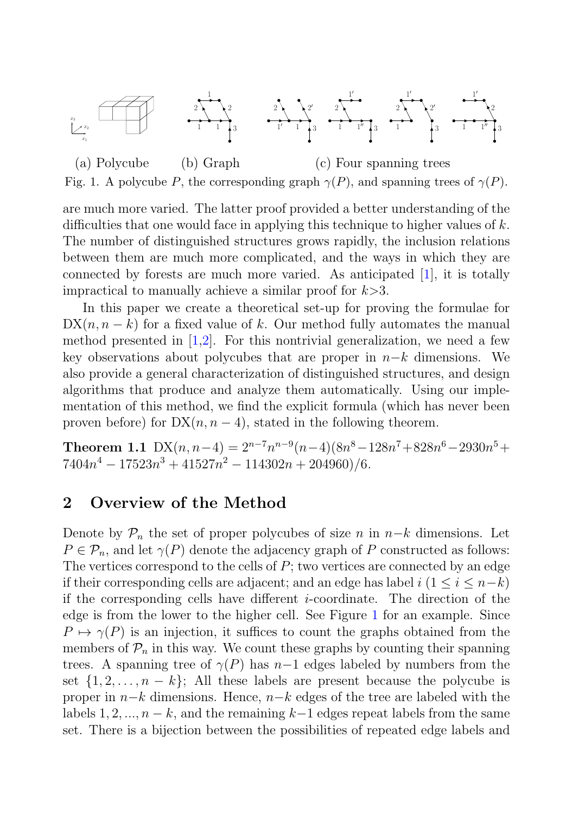

(a) Polycube (b) Graph (c) Four spanning trees Fig. 1. A polycube P, the corresponding graph  $\gamma(P)$ , and spanning trees of  $\gamma(P)$ .

are much more varied. The latter proof provided a better understanding of the difficulties that one would face in applying this technique to higher values of  $k$ . The number of distinguished structures grows rapidly, the inclusion relations between them are much more complicated, and the ways in which they are connected by forests are much more varied. As anticipated [1], it is totally impractical to manually achieve a similar proof for  $k > 3$ .

In this paper we create a theoretical set-up for proving the formulae for  $DX(n, n - k)$  for a fixed value of k. Our method fully automates the manual method presented in  $[1,2]$ . For this nontrivial generalization, we need a few key observations about polycubes that are proper in  $n-k$  dimensions. We also provide a general characterization of distinguished structures, and design algorithms that produce and analyze them automatically. Using our implementation of this method, we find the explicit formula (which has never been proven before) for  $DX(n, n - 4)$ , stated in the following theorem.

**Theorem 1.1** DX $(n, n-4) = 2^{n-7}n^{n-9}(n-4)(8n^8 - 128n^7 + 828n^6 - 2930n^5 +$  $7404n^4 - 17523n^3 + 41527n^2 - 114302n + 204960/6.$ 

## **2 Overview of the Method**

Denote by  $\mathcal{P}_n$  the set of proper polycubes of size n in  $n-k$  dimensions. Let  $P \in \mathcal{P}_n$ , and let  $\gamma(P)$  denote the adjacency graph of P constructed as follows: The vertices correspond to the cells of  $P$ ; two vertices are connected by an edge if their corresponding cells are adjacent; and an edge has label  $i$  ( $1 \leq i \leq n-k$ ) if the corresponding cells have different i-coordinate. The direction of the edge is from the lower to the higher cell. See Figure 1 for an example. Since  $P \mapsto \gamma(P)$  is an injection, it suffices to count the graphs obtained from the members of  $\mathcal{P}_n$  in this way. We count these graphs by counting their spanning trees. A spanning tree of  $\gamma(P)$  has n−1 edges labeled by numbers from the set  $\{1, 2, \ldots, n - k\}$ ; All these labels are present because the polycube is proper in <sup>n</sup>−<sup>k</sup> dimensions. Hence, <sup>n</sup>−<sup>k</sup> edges of the tree are labeled with the labels 1, 2, ...,  $n - k$ , and the remaining  $k-1$  edges repeat labels from the same set. There is a bijection between the possibilities of repeated edge labels and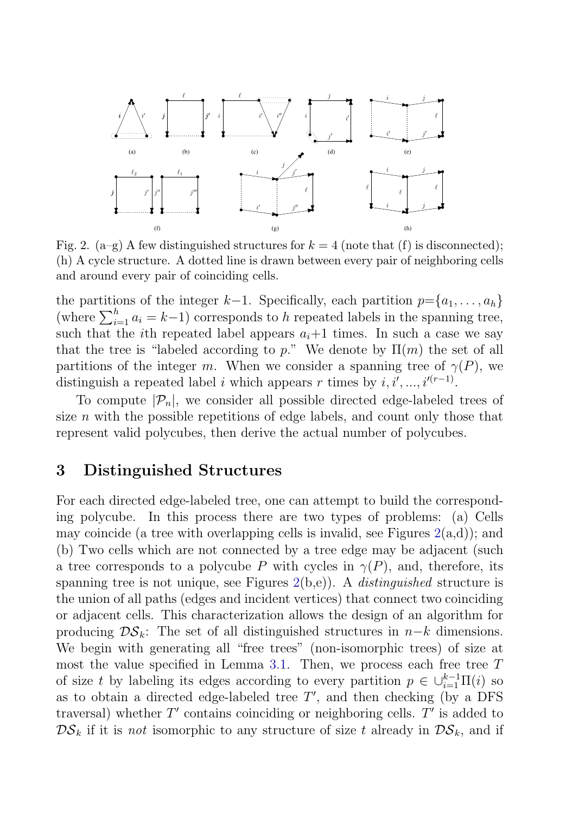

Fig. 2.  $(a-g)$  A few distinguished structures for  $k = 4$  (note that (f) is disconnected); (h) A cycle structure. A dotted line is drawn between every pair of neighboring cells and around every pair of coinciding cells.

the partitions of the integer k−1. Specifically, each partition  $p=\{a_1,\ldots,a_h\}$ (where  $\sum_{i=1}^{h} a_i = k-1$ ) corresponds to h repeated labels in the spanning tree, such that the *i*th repeated label appears  $a_i+1$  times. In such a case we say that the tree is "labeled according to p." We denote by  $\Pi(m)$  the set of all partitions of the integer m. When we consider a spanning tree of  $\gamma(P)$ , we distinguish a repeated label i which appears r times by  $i, i', ..., i'^{(r-1)}$ .

To compute  $|\mathcal{P}_n|$ , we consider all possible directed edge-labeled trees of size  $n$  with the possible repetitions of edge labels, and count only those that represent valid polycubes, then derive the actual number of polycubes.

## **3 Distinguished Structures**

For each directed edge-labeled tree, one can attempt to build the corresponding polycube. In this process there are two types of problems: (a) Cells may coincide (a tree with overlapping cells is invalid, see Figures  $2(a,d)$ ); and (b) Two cells which are not connected by a tree edge may be adjacent (such a tree corresponds to a polycube P with cycles in  $\gamma(P)$ , and, therefore, its spanning tree is not unique, see Figures  $2(b,e)$ ). A *distinguished* structure is the union of all paths (edges and incident vertices) that connect two coinciding or adjacent cells. This characterization allows the design of an algorithm for producing  $\mathcal{DS}_k$ : The set of all distinguished structures in  $n-k$  dimensions. We begin with generating all "free trees" (non-isomorphic trees) of size at most the value specified in Lemma  $3.1$ . Then, we process each free tree  $T$ of size t by labeling its edges according to every partition  $p \in \bigcup_{i=1}^{k-1} \Pi(i)$  so as to obtain a directed edge-labeled tree  $T'$ , and then checking (by a DFS traversal) whether  $T'$  contains coinciding or neighboring cells.  $T'$  is added to  $\mathcal{DS}_k$  if it is not isomorphic to any structure of size t already in  $\mathcal{DS}_k$ , and if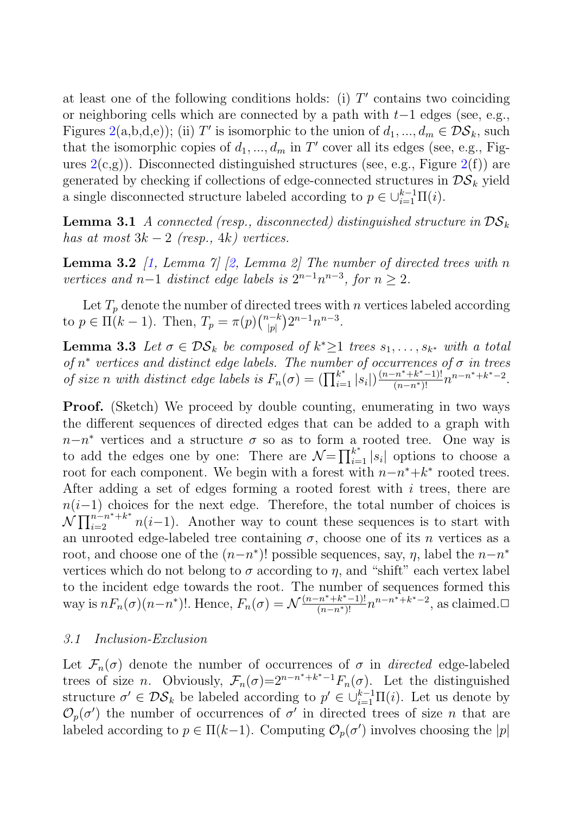at least one of the following conditions holds: (i)  $T'$  contains two coinciding or neighboring cells which are connected by a path with  $t-1$  edges (see, e.g., Figures 2(a,b,d,e)); (ii) T' is isomorphic to the union of  $d_1, ..., d_m \in \mathcal{DS}_k$ , such that the isomorphic copies of  $d_1, ..., d_m$  in T' cover all its edges (see, e.g., Figures  $2(c,g)$ ). Disconnected distinguished structures (see, e.g., Figure  $2(f)$ ) are generated by checking if collections of edge-connected structures in  $DS_k$  yield a single disconnected structure labeled according to  $p \in \bigcup_{i=1}^{k-1} \Pi(i)$ .

**Lemma 3.1** A connected (resp., disconnected) distinguished structure in  $DS_k$ has at most  $3k-2$  (resp.,  $4k$ ) vertices.

**Lemma 3.2** [1, Lemma 7] [2, Lemma 2] The number of directed trees with n vertices and n−1 distinct edge labels is  $2^{n-1}n^{n-3}$ , for  $n \geq 2$ .

Let  $T_p$  denote the number of directed trees with n vertices labeled according to  $p \in \Pi(k-1)$ . Then,  $T_p = \pi(p) \binom{n-k}{|p|} 2^{n-1} n^{n-3}$ .

**Lemma 3.3** Let  $\sigma \in \mathcal{DS}_k$  be composed of  $k^* \geq 1$  trees  $s_1, \ldots, s_{k^*}$  with a total of  $n^*$  vertices and distinct edge labels. The number of occurrences of  $\sigma$  in trees of size n with distinct edge labels is  $F_n(\sigma) = (\prod_{i=1}^{k^*} |s_i|) \frac{(n-n^*+k^*-1)!}{(n-n^*)!} n^{n-n^*+k^*-2}$ .

**Proof.** (Sketch) We proceed by double counting, enumerating in two ways the different sequences of directed edges that can be added to a graph with  $n-n^*$  vertices and a structure  $\sigma$  so as to form a rooted tree. One way is to add the edges one by one: There are  $\mathcal{N} = \prod_{i=1}^{k^*} |s_i|$  options to choose a root for each component. We begin with a forest with  $n-n^*+k^*$  rooted trees. After adding a set of edges forming a rooted forest with  $i$  trees, there are  $n(i-1)$  choices for the next edge. Therefore, the total number of choices is  $\mathcal{N} \prod_{i=2}^{n-n^*+k^*} n(i-1)$ . Another way to count these sequences is to start with an unrooted edge-labeled tree containing  $\sigma$ , choose one of its *n* vertices as a root, and choose one of the  $(n-n^*)!$  possible sequences, say,  $\eta$ , label the  $n-n^*$ vertices which do not belong to  $\sigma$  according to  $\eta$ , and "shift" each vertex label to the incident edge towards the root. The number of sequences formed this way is  $nF_n(\sigma)(n-n^*)!$ . Hence,  $F_n(\sigma) = \mathcal{N}\frac{(n-n^*+k^*-1)!}{(n-n^*)!}n^{n-n^*+k^*-2}$ , as claimed. $\Box$ 

#### 3.1 Inclusion-Exclusion

Let  $\mathcal{F}_n(\sigma)$  denote the number of occurrences of  $\sigma$  in directed edge-labeled trees of size *n*. Obviously,  $\mathcal{F}_n(\sigma)=2^{n-n^*+k^*-1}F_n(\sigma)$ . Let the distinguished structure  $\sigma' \in \mathcal{DS}_k$  be labeled according to  $p' \in \bigcup_{i=1}^{k-1} \Pi(i)$ . Let us denote by  $\mathcal{O}_p(\sigma')$  the number of occurrences of  $\sigma'$  in directed trees of size *n* that are labeled according to  $p \in \Pi(k-1)$ . Computing  $\mathcal{O}_p(\sigma')$  involves choosing the  $|p|$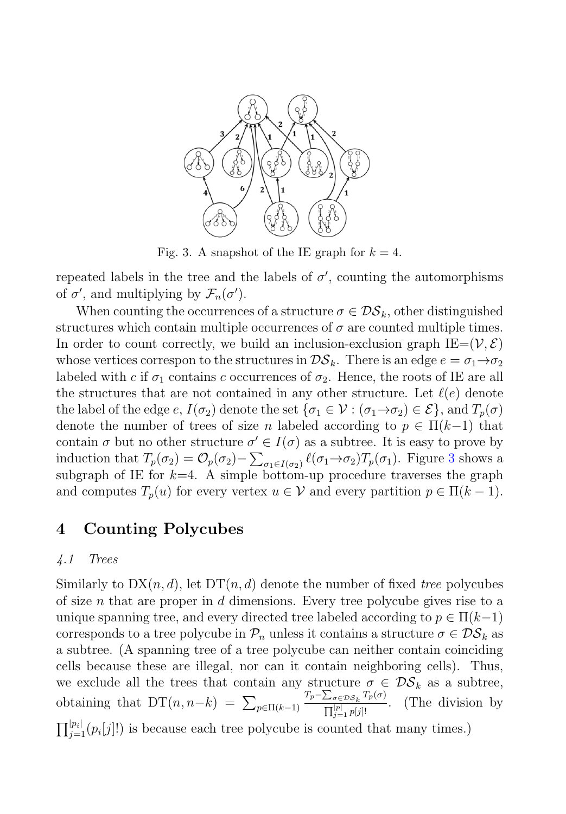

Fig. 3. A snapshot of the IE graph for  $k = 4$ .

repeated labels in the tree and the labels of  $\sigma'$ , counting the automorphisms of  $\sigma'$ , and multiplying by  $\mathcal{F}_n(\sigma')$ .

When counting the occurrences of a structure  $\sigma \in \mathcal{DS}_k$ , other distinguished structures which contain multiple occurrences of  $\sigma$  are counted multiple times. In order to count correctly, we build an inclusion-exclusion graph  $IE=(V, \mathcal{E})$ whose vertices correspon to the structures in  $\mathcal{DS}_k$ . There is an edge  $e = \sigma_1 \rightarrow \sigma_2$ labeled with c if  $\sigma_1$  contains c occurrences of  $\sigma_2$ . Hence, the roots of IE are all the structures that are not contained in any other structure. Let  $\ell(e)$  denote the label of the edge e,  $I(\sigma_2)$  denote the set  $\{\sigma_1 \in \mathcal{V} : (\sigma_1 \rightarrow \sigma_2) \in \mathcal{E}\}\)$ , and  $T_p(\sigma)$ denote the number of trees of size n labeled according to  $p \in \Pi(k-1)$  that contain  $\sigma$  but no other structure  $\sigma' \in I(\sigma)$  as a subtree. It is easy to prove by induction that  $T_p(\sigma_2) = \mathcal{O}_p(\sigma_2) - \sum_{\sigma_1 \in I(\sigma_2)} \ell(\sigma_1 \to \sigma_2) T_p(\sigma_1)$ . Figure 3 shows a subgraph of IE for  $k=4$ . A simple bottom-up procedure traverses the graph and computes  $T_p(u)$  for every vertex  $u \in V$  and every partition  $p \in \Pi(k-1)$ .

## **4 Counting Polycubes**

#### 4.1 Trees

Similarly to  $DX(n, d)$ , let  $DT(n, d)$  denote the number of fixed tree polycubes of size n that are proper in  $d$  dimensions. Every tree polycube gives rise to a unique spanning tree, and every directed tree labeled according to  $p \in \Pi(k-1)$ corresponds to a tree polycube in  $\mathcal{P}_n$  unless it contains a structure  $\sigma \in \mathcal{DS}_k$  as a subtree. (A spanning tree of a tree polycube can neither contain coinciding cells because these are illegal, nor can it contain neighboring cells). Thus, we exclude all the trees that contain any structure  $\sigma \in \mathcal{DS}_k$  as a subtree, obtaining that  $DT(n, n-k) = \sum_{p \in \Pi(k-1)}$  $T_p - \sum_{\sigma \in \mathcal{DS}_k} T_p(\sigma)$  $\frac{\sum_{\sigma \in \mathcal{DS}_k} 1_{p(\sigma)}}{\prod_{j=1}^{|p|} p[j]!}$ . (The division by  $\prod_{j=1}^{|p_i|} (p_i[j])$  is because each tree polycube is counted that many times.)